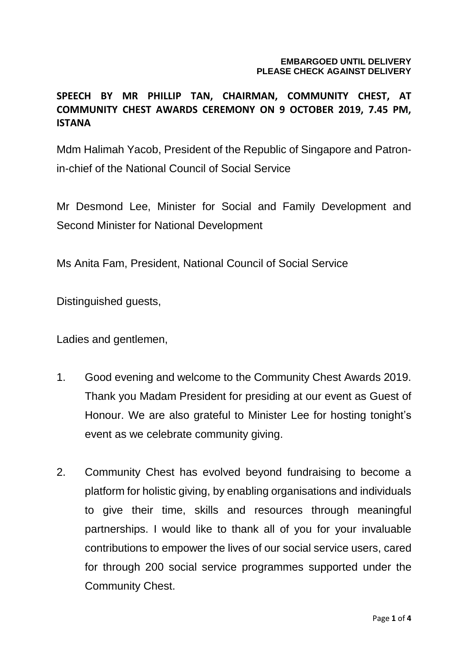## **EMBARGOED UNTIL DELIVERY PLEASE CHECK AGAINST DELIVERY**

## **SPEECH BY MR PHILLIP TAN, CHAIRMAN, COMMUNITY CHEST, AT COMMUNITY CHEST AWARDS CEREMONY ON 9 OCTOBER 2019, 7.45 PM, ISTANA**

Mdm Halimah Yacob, President of the Republic of Singapore and Patronin-chief of the National Council of Social Service

Mr Desmond Lee, Minister for Social and Family Development and Second Minister for National Development

Ms Anita Fam, President, National Council of Social Service

Distinguished guests,

Ladies and gentlemen,

- 1. Good evening and welcome to the Community Chest Awards 2019. Thank you Madam President for presiding at our event as Guest of Honour. We are also grateful to Minister Lee for hosting tonight's event as we celebrate community giving.
- 2. Community Chest has evolved beyond fundraising to become a platform for holistic giving, by enabling organisations and individuals to give their time, skills and resources through meaningful partnerships. I would like to thank all of you for your invaluable contributions to empower the lives of our social service users, cared for through 200 social service programmes supported under the Community Chest.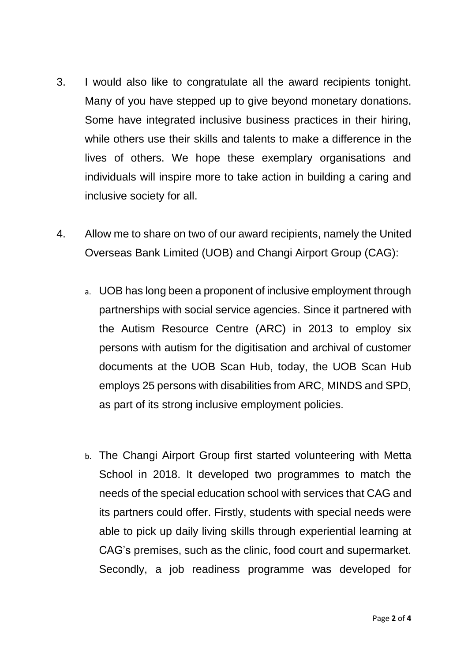- 3. I would also like to congratulate all the award recipients tonight. Many of you have stepped up to give beyond monetary donations. Some have integrated inclusive business practices in their hiring, while others use their skills and talents to make a difference in the lives of others. We hope these exemplary organisations and individuals will inspire more to take action in building a caring and inclusive society for all.
- 4. Allow me to share on two of our award recipients, namely the United Overseas Bank Limited (UOB) and Changi Airport Group (CAG):
	- a. UOB has long been a proponent of inclusive employment through partnerships with social service agencies. Since it partnered with the Autism Resource Centre (ARC) in 2013 to employ six persons with autism for the digitisation and archival of customer documents at the UOB Scan Hub, today, the UOB Scan Hub employs 25 persons with disabilities from ARC, MINDS and SPD, as part of its strong inclusive employment policies.
	- b. The Changi Airport Group first started volunteering with Metta School in 2018. It developed two programmes to match the needs of the special education school with services that CAG and its partners could offer. Firstly, students with special needs were able to pick up daily living skills through experiential learning at CAG's premises, such as the clinic, food court and supermarket. Secondly, a job readiness programme was developed for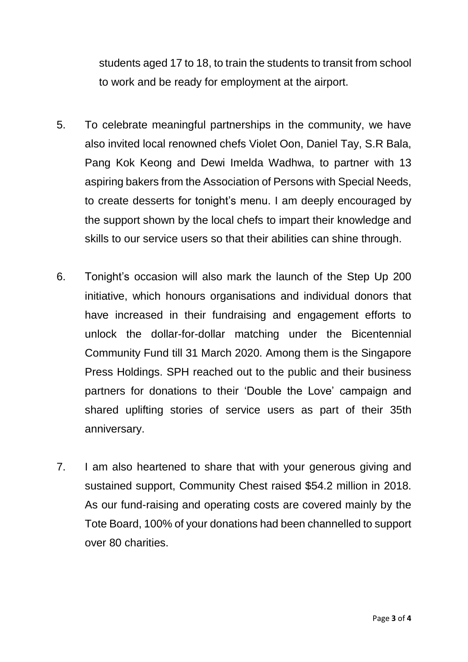students aged 17 to 18, to train the students to transit from school to work and be ready for employment at the airport.

- 5. To celebrate meaningful partnerships in the community, we have also invited local renowned chefs Violet Oon, Daniel Tay, S.R Bala, Pang Kok Keong and Dewi Imelda Wadhwa, to partner with 13 aspiring bakers from the Association of Persons with Special Needs, to create desserts for tonight's menu. I am deeply encouraged by the support shown by the local chefs to impart their knowledge and skills to our service users so that their abilities can shine through.
- 6. Tonight's occasion will also mark the launch of the Step Up 200 initiative, which honours organisations and individual donors that have increased in their fundraising and engagement efforts to unlock the dollar-for-dollar matching under the Bicentennial Community Fund till 31 March 2020. Among them is the Singapore Press Holdings. SPH reached out to the public and their business partners for donations to their 'Double the Love' campaign and shared uplifting stories of service users as part of their 35th anniversary.
- 7. I am also heartened to share that with your generous giving and sustained support, Community Chest raised \$54.2 million in 2018. As our fund-raising and operating costs are covered mainly by the Tote Board, 100% of your donations had been channelled to support over 80 charities.